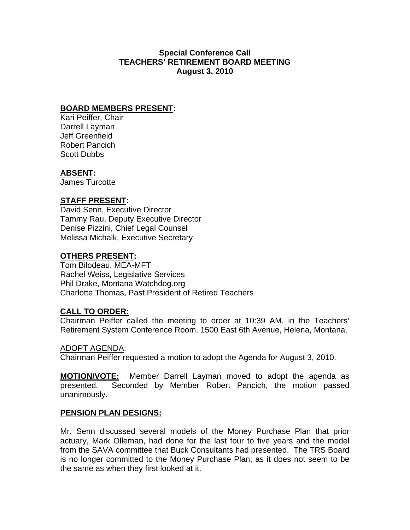# **Special Conference Call TEACHERS' RETIREMENT BOARD MEETING August 3, 2010**

## **BOARD MEMBERS PRESENT:**

Kari Peiffer, Chair Darrell Layman Jeff Greenfield Robert Pancich Scott Dubbs

### **ABSENT:**

James Turcotte

## **STAFF PRESENT:**

David Senn, Executive Director Tammy Rau, Deputy Executive Director Denise Pizzini, Chief Legal Counsel Melissa Michalk, Executive Secretary

## **OTHERS PRESENT:**

Tom Bilodeau, MEA-MFT Rachel Weiss, Legislative Services Phil Drake, Montana Watchdog.org Charlotte Thomas, Past President of Retired Teachers

## **CALL TO ORDER:**

Chairman Peiffer called the meeting to order at 10:39 AM, in the Teachers' Retirement System Conference Room, 1500 East 6th Avenue, Helena, Montana.

#### ADOPT AGENDA:

Chairman Peiffer requested a motion to adopt the Agenda for August 3, 2010.

**MOTION/VOTE:** Member Darrell Layman moved to adopt the agenda as presented. Seconded by Member Robert Pancich, the motion passed unanimously.

#### **PENSION PLAN DESIGNS:**

Mr. Senn discussed several models of the Money Purchase Plan that prior actuary, Mark Olleman, had done for the last four to five years and the model from the SAVA committee that Buck Consultants had presented. The TRS Board is no longer committed to the Money Purchase Plan, as it does not seem to be the same as when they first looked at it.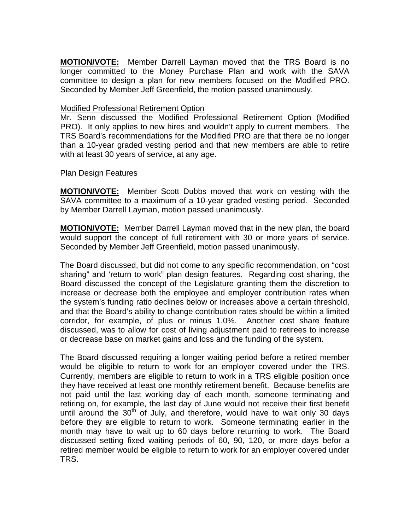**MOTION/VOTE:** Member Darrell Layman moved that the TRS Board is no longer committed to the Money Purchase Plan and work with the SAVA committee to design a plan for new members focused on the Modified PRO. Seconded by Member Jeff Greenfield, the motion passed unanimously.

### Modified Professional Retirement Option

Mr. Senn discussed the Modified Professional Retirement Option (Modified PRO). It only applies to new hires and wouldn't apply to current members. The TRS Board's recommendations for the Modified PRO are that there be no longer than a 10-year graded vesting period and that new members are able to retire with at least 30 years of service, at any age.

#### Plan Design Features

**MOTION/VOTE:** Member Scott Dubbs moved that work on vesting with the SAVA committee to a maximum of a 10-year graded vesting period. Seconded by Member Darrell Layman, motion passed unanimously.

**MOTION/VOTE:** Member Darrell Layman moved that in the new plan, the board would support the concept of full retirement with 30 or more years of service. Seconded by Member Jeff Greenfield, motion passed unanimously.

The Board discussed, but did not come to any specific recommendation, on "cost sharing" and 'return to work" plan design features. Regarding cost sharing, the Board discussed the concept of the Legislature granting them the discretion to increase or decrease both the employee and employer contribution rates when the system's funding ratio declines below or increases above a certain threshold, and that the Board's ability to change contribution rates should be within a limited corridor, for example, of plus or minus 1.0%. Another cost share feature discussed, was to allow for cost of living adjustment paid to retirees to increase or decrease base on market gains and loss and the funding of the system.

The Board discussed requiring a longer waiting period before a retired member would be eligible to return to work for an employer covered under the TRS. Currently, members are eligible to return to work in a TRS eligible position once they have received at least one monthly retirement benefit. Because benefits are not paid until the last working day of each month, someone terminating and retiring on, for example, the last day of June would not receive their first benefit until around the  $30<sup>th</sup>$  of July, and therefore, would have to wait only 30 days before they are eligible to return to work. Someone terminating earlier in the month may have to wait up to 60 days before returning to work. The Board discussed setting fixed waiting periods of 60, 90, 120, or more days befor a retired member would be eligible to return to work for an employer covered under TRS.